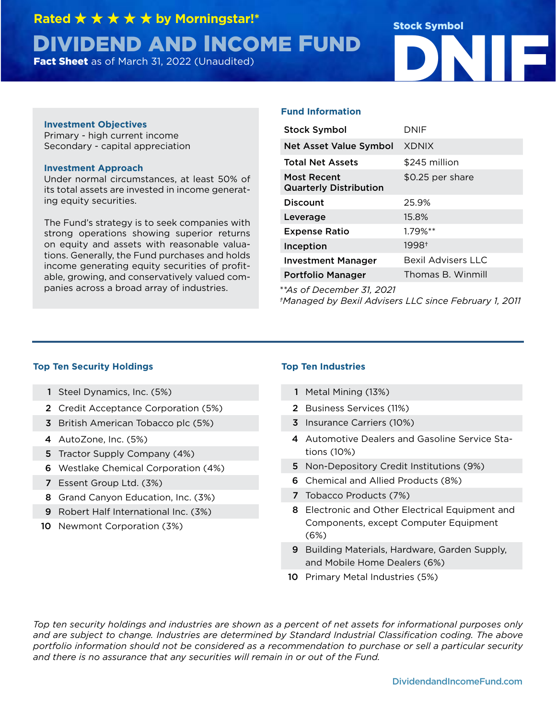**Rated** ★ ★ ★ ★ ★ **by Morningstar!\*** 

# **DIVIDEND AND INCOME FUND**<br>Fact Sheet as of March 31, 2022 (Unaudited) Stock Symbol

### **Investment Objectives**

Primary - high current income Secondary - capital appreciation

### **Investment Approach**

Under normal circumstances, at least 50% of its total assets are invested in income generating equity securities.

The Fund's strategy is to seek companies with strong operations showing superior returns on equity and assets with reasonable valuations. Generally, the Fund purchases and holds income generating equity securities of profitable, growing, and conservatively valued companies across a broad array of industries. *\*\*As of December 31, 2021*

### **Fund Information**

| <b>Stock Symbol</b>                          | DNIF                      |
|----------------------------------------------|---------------------------|
| <b>Net Asset Value Symbol</b>                | <b>XDNIX</b>              |
| <b>Total Net Assets</b>                      | \$245 million             |
| Most Recent<br><b>Quarterly Distribution</b> | \$0.25 per share          |
| <b>Discount</b>                              | 25.9%                     |
| Leverage                                     | 15.8%                     |
| <b>Expense Ratio</b>                         | $1.79%$ **                |
| Inception                                    | 1998+                     |
| <b>Investment Manager</b>                    | <b>Bexil Advisers LLC</b> |
| <b>Portfolio Manager</b>                     | Thomas B. Winmill         |

*†Managed by Bexil Advisers LLC since February 1, 2011*

### **Top Ten Security Holdings Top Ten Industries**

- 1 Steel Dynamics, Inc. (5%)
- 2 Credit Acceptance Corporation (5%)
- 3 British American Tobacco plc (5%)
- 4 AutoZone, Inc. (5%)
- 5 Tractor Supply Company (4%)
- 6 Westlake Chemical Corporation (4%)
- 7 Essent Group Ltd. (3%)
- 8 Grand Canyon Education, Inc. (3%)
- 9 Robert Half International Inc. (3%)
- 10 Newmont Corporation (3%)

- 1 Metal Mining (13%)
- 2 Business Services (11%)
- 3 Insurance Carriers (10%)
- 4 Automotive Dealers and Gasoline Service Stations (10%)
- 5 Non-Depository Credit Institutions (9%)
- 6 Chemical and Allied Products (8%)
- 7 Tobacco Products (7%)
- 8 Electronic and Other Electrical Equipment and Components, except Computer Equipment (6%)
- 9 Building Materials, Hardware, Garden Supply, and Mobile Home Dealers (6%)
- 10 Primary Metal Industries (5%)

*Top ten security holdings and industries are shown as a percent of net assets for informational purposes only and are subject to change. Industries are determined by Standard Industrial Classification coding. The above portfolio information should not be considered as a recommendation to purchase or sell a particular security and there is no assurance that any securities will remain in or out of the Fund.*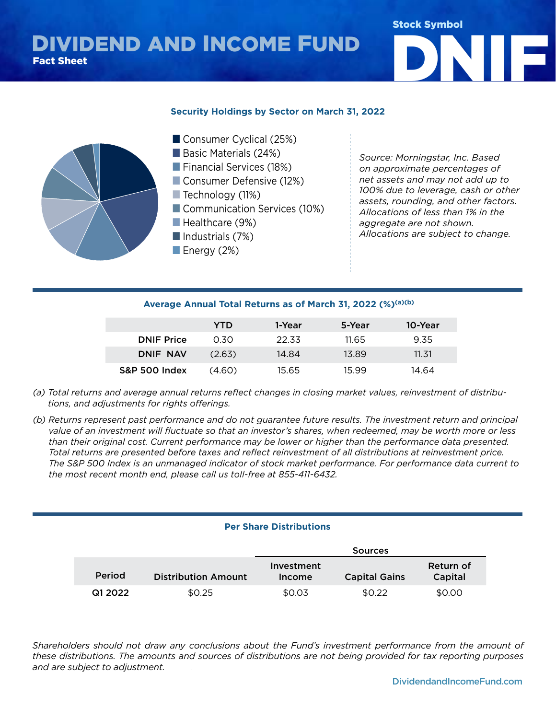# DIVIDEND AND INCOME FUND<br>Fact Sheet



### **Security Holdings by Sector on March 31, 2022**



*Source: Morningstar, Inc. Based on approximate percentages of net assets and may not add up to 100% due to leverage, cash or other assets, rounding, and other factors. Allocations of less than 1% in the aggregate are not shown. Allocations are subject to change.*

### **Average Annual Total Returns as of March 31, 2022 (%)(a)(b)**

■ Real Estate (1%)

|                   | YTD    | 1-Year | 5-Year | 10-Year |
|-------------------|--------|--------|--------|---------|
| <b>DNIF Price</b> | 0.30   | 22.33  | 11.65  | 9.35    |
| DNIF NAV          | (2.63) | 14.84  | 13.89  | 11.31   |
| S&P 500 Index     | (4.60) | 15.65  | 15.99  | 14.64   |

- *(a) Total returns and average annual returns reflect changes in closing market values, reinvestment of distributions, and adjustments for rights offerings.*
- *(b) Returns represent past performance and do not guarantee future results. The investment return and principal value of an investment will fluctuate so that an investor's shares, when redeemed, may be worth more or less than their original cost. Current performance may be lower or higher than the performance data presented. Total returns are presented before taxes and reflect reinvestment of all distributions at reinvestment price. The S&P 500 Index is an unmanaged indicator of stock market performance. For performance data current to the most recent month end, please call us toll-free at 855-411-6432.*

### **Per Share Distributions**

|         |                            | Sources              |                      |                      |
|---------|----------------------------|----------------------|----------------------|----------------------|
| Period  | <b>Distribution Amount</b> | Investment<br>Income | <b>Capital Gains</b> | Return of<br>Capital |
| Q1 2022 | \$0.25                     | \$0.03               | \$0.22               | \$0.00               |

Shareholders should not draw any conclusions about the Fund's investment performance from the amount *Shareholders should not draw any conclusions about the Fund's investment performance from the amount of*  these distributions. The amounts and sources of distributions are not being provided for tax reporting purposes and are subject to adjustment.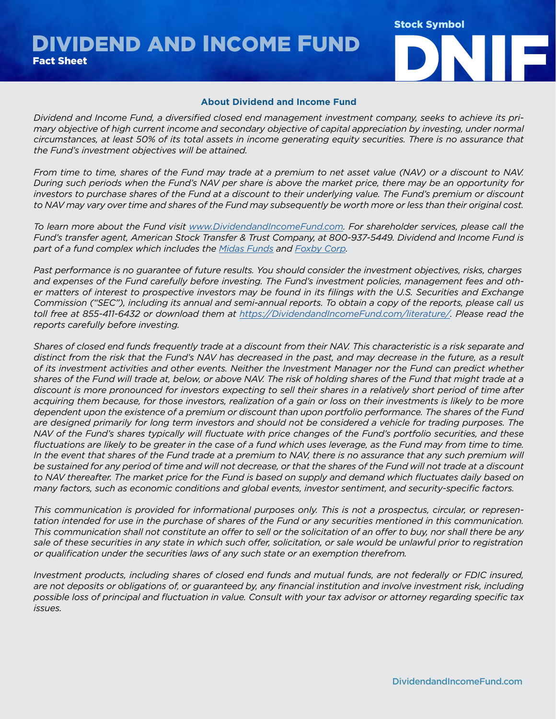DIVIDEND AND INCOME FUND<br>Fact Sheet



### **About Dividend and Income Fund**

*Dividend and Income Fund, a diversified closed end management investment company, seeks to achieve its primary objective of high current income and secondary objective of capital appreciation by investing, under normal circumstances, at least 50% of its total assets in income generating equity securities. There is no assurance that the Fund's investment objectives will be attained.*

*From time to time, shares of the Fund may trade at a premium to net asset value (NAV) or a discount to NAV. During such periods when the Fund's NAV per share is above the market price, there may be an opportunity for investors to purchase shares of the Fund at a discount to their underlying value. The Fund's premium or discount to NAV may vary over time and shares of the Fund may subsequently be worth more or less than their original cost.*

*To learn more about the Fund visit [www.DividendandIncomeFund.com](https://www.DividendandIncomeFund.com). For shareholder services, please call the Fund's transfer agent, American Stock Transfer & Trust Company, at 800-937-5449. Dividend and Income Fund is part of a fund complex which includes the [Midas Funds](https://www.midasfunds.com) and [Foxby Corp.](https://www.foxbycorp.com)*

*Past performance is no guarantee of future results. You should consider the investment objectives, risks, charges and expenses of the Fund carefully before investing. The Fund's investment policies, management fees and other matters of interest to prospective investors may be found in its filings with the U.S. Securities and Exchange Commission ("SEC"), including its annual and semi-annual reports. To obtain a copy of the reports, please call us toll free at 855-411-6432 or download them at [https://DividendandIncomeFund.com/literature/.](https://dividendandincomefund.com/literature/) Please read the reports carefully before investing.*

*Shares of closed end funds frequently trade at a discount from their NAV. This characteristic is a risk separate and distinct from the risk that the Fund's NAV has decreased in the past, and may decrease in the future, as a result of its investment activities and other events. Neither the Investment Manager nor the Fund can predict whether shares of the Fund will trade at, below, or above NAV. The risk of holding shares of the Fund that might trade at a discount is more pronounced for investors expecting to sell their shares in a relatively short period of time after acquiring them because, for those investors, realization of a gain or loss on their investments is likely to be more dependent upon the existence of a premium or discount than upon portfolio performance. The shares of the Fund are designed primarily for long term investors and should not be considered a vehicle for trading purposes. The NAV of the Fund's shares typically will fluctuate with price changes of the Fund's portfolio securities, and these fluctuations are likely to be greater in the case of a fund which uses leverage, as the Fund may from time to time.*  In the event that shares of the Fund trade at a premium to NAV, there is no assurance that any such premium will *be sustained for any period of time and will not decrease, or that the shares of the Fund will not trade at a discount to NAV thereafter. The market price for the Fund is based on supply and demand which fluctuates daily based on many factors, such as economic conditions and global events, investor sentiment, and security-specific factors.*

*This communication is provided for informational purposes only. This is not a prospectus, circular, or representation intended for use in the purchase of shares of the Fund or any securities mentioned in this communication. This communication shall not constitute an offer to sell or the solicitation of an offer to buy, nor shall there be any sale of these securities in any state in which such offer, solicitation, or sale would be unlawful prior to registration or qualification under the securities laws of any such state or an exemption therefrom.*

*Investment products, including shares of closed end funds and mutual funds, are not federally or FDIC insured, are not deposits or obligations of, or guaranteed by, any financial institution and involve investment risk, including possible loss of principal and fluctuation in value. Consult with your tax advisor or attorney regarding specific tax issues.*